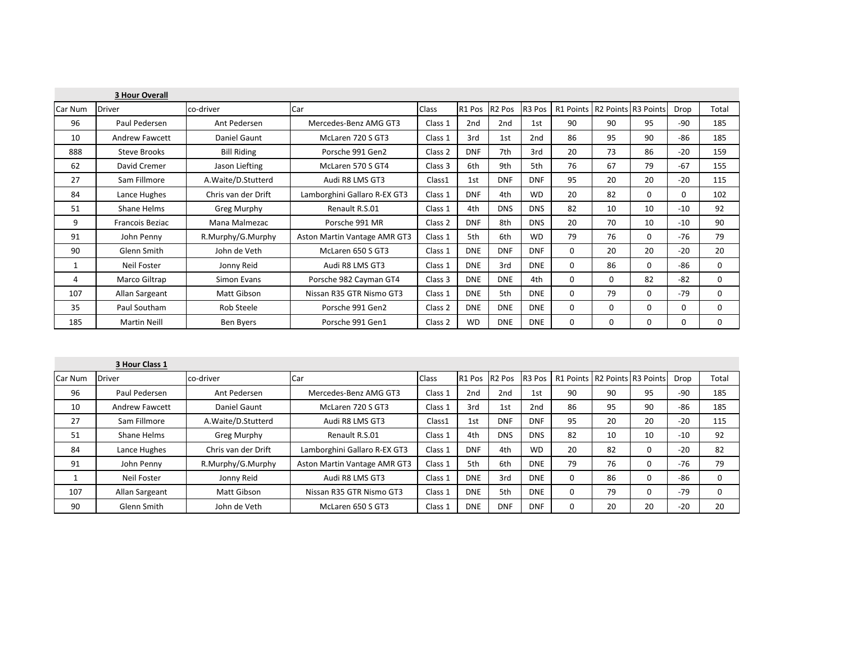|         | <b>3 Hour Overall</b>  |                     |                              |         |                 |                    |                 |                               |    |    |       |          |
|---------|------------------------|---------------------|------------------------------|---------|-----------------|--------------------|-----------------|-------------------------------|----|----|-------|----------|
| Car Num | <b>Driver</b>          | co-driver           | Car                          | Class   | R1 Pos          | R <sub>2</sub> Pos | R3 Pos          | R1 Points R2 Points R3 Points |    |    | Drop  | Total    |
| 96      | Paul Pedersen          | Ant Pedersen        | Mercedes-Benz AMG GT3        | Class 1 | 2 <sub>nd</sub> | 2nd                | 1st             | 90                            | 90 | 95 | -90   | 185      |
| 10      | <b>Andrew Fawcett</b>  | Daniel Gaunt        | McLaren 720 S GT3            | Class 1 | 3rd             | 1st                | 2 <sub>nd</sub> | 86                            | 95 | 90 | -86   | 185      |
| 888     | Steve Brooks           | <b>Bill Riding</b>  | Porsche 991 Gen2             | Class 2 | <b>DNF</b>      | 7th                | 3rd             | 20                            | 73 | 86 | $-20$ | 159      |
| 62      | David Cremer           | Jason Liefting      | McLaren 570 S GT4            | Class 3 | 6th             | 9th                | 5th             | 76                            | 67 | 79 | $-67$ | 155      |
| 27      | Sam Fillmore           | A.Waite/D.Stutterd  | Audi R8 LMS GT3              | Class1  | 1st             | <b>DNF</b>         | <b>DNF</b>      | 95                            | 20 | 20 | $-20$ | 115      |
| 84      | Lance Hughes           | Chris van der Drift | Lamborghini Gallaro R-EX GT3 | Class 1 | <b>DNF</b>      | 4th                | <b>WD</b>       | 20                            | 82 | 0  | 0     | 102      |
| 51      | Shane Helms            | Greg Murphy         | Renault R.S.01               | Class 1 | 4th             | <b>DNS</b>         | <b>DNS</b>      | 82                            | 10 | 10 | $-10$ | 92       |
| 9       | <b>Francois Beziac</b> | Mana Malmezac       | Porsche 991 MR               | Class 2 | <b>DNF</b>      | 8th                | <b>DNS</b>      | 20                            | 70 | 10 | $-10$ | 90       |
| 91      | John Penny             | R.Murphy/G.Murphy   | Aston Martin Vantage AMR GT3 | Class 1 | 5th             | 6th                | <b>WD</b>       | 79                            | 76 | 0  | $-76$ | 79       |
| 90      | Glenn Smith            | John de Veth        | McLaren 650 S GT3            | Class 1 | <b>DNE</b>      | <b>DNF</b>         | <b>DNF</b>      | $\Omega$                      | 20 | 20 | $-20$ | 20       |
|         | Neil Foster            | Jonny Reid          | Audi R8 LMS GT3              | Class 1 | <b>DNE</b>      | 3rd                | <b>DNE</b>      | 0                             | 86 | 0  | -86   | 0        |
| 4       | Marco Giltrap          | Simon Evans         | Porsche 982 Cayman GT4       | Class 3 | <b>DNE</b>      | <b>DNE</b>         | 4th             | 0                             | 0  | 82 | $-82$ | $\Omega$ |
| 107     | Allan Sargeant         | Matt Gibson         | Nissan R35 GTR Nismo GT3     | Class 1 | <b>DNE</b>      | 5th                | <b>DNE</b>      | $\Omega$                      | 79 | 0  | $-79$ | 0        |
| 35      | Paul Southam           | Rob Steele          | Porsche 991 Gen2             | Class 2 | <b>DNE</b>      | <b>DNE</b>         | <b>DNE</b>      | $\Omega$                      | 0  | 0  | 0     | $\Omega$ |
| 185     | <b>Martin Neill</b>    | <b>Ben Byers</b>    | Porsche 991 Gen1             | Class 2 | <b>WD</b>       | <b>DNE</b>         | <b>DNE</b>      | $\Omega$                      | 0  | 0  | 0     | $\Omega$ |

|         | 3 Hour Class 1        |                      |                              |         |               |            |                    |                               |    |    |       |       |
|---------|-----------------------|----------------------|------------------------------|---------|---------------|------------|--------------------|-------------------------------|----|----|-------|-------|
| Car Num | <b>Driver</b>         | co-driver            | Car                          | Class   | R1 Pos R2 Pos |            | R <sub>3</sub> Pos | R1 Points R2 Points R3 Points |    |    | Drop  | Total |
| 96      | Paul Pedersen         | Ant Pedersen         | Mercedes-Benz AMG GT3        | Class 1 | 2nd           | 2nd        | 1st                | 90                            | 90 | 95 | $-90$ | 185   |
| 10      | <b>Andrew Fawcett</b> | Daniel Gaunt         | McLaren 720 S GT3            | Class 1 | 3rd           | 1st        | 2 <sub>nd</sub>    | 86                            | 95 | 90 | $-86$ | 185   |
| 27      | Sam Fillmore          | A. Waite/D. Stutterd | Audi R8 LMS GT3              | Class1  | 1st           | <b>DNF</b> | <b>DNF</b>         | 95                            | 20 | 20 | $-20$ | 115   |
| 51      | Shane Helms           | Greg Murphy          | Renault R.S.01               | Class 1 | 4th           | <b>DNS</b> | <b>DNS</b>         | 82                            | 10 | 10 | $-10$ | 92    |
| 84      | Lance Hughes          | Chris van der Drift  | Lamborghini Gallaro R-EX GT3 | Class 1 | <b>DNF</b>    | 4th        | <b>WD</b>          | 20                            | 82 |    | $-20$ | 82    |
| 91      | John Penny            | R.Murphy/G.Murphy    | Aston Martin Vantage AMR GT3 | Class 1 | 5th           | 6th        | <b>DNE</b>         | 79                            | 76 |    | $-76$ | 79    |
|         | Neil Foster           | Jonny Reid           | Audi R8 LMS GT3              | Class 1 | <b>DNE</b>    | 3rd        | <b>DNE</b>         | 0                             | 86 | 0  | $-86$ |       |
| 107     | Allan Sargeant        | Matt Gibson          | Nissan R35 GTR Nismo GT3     | Class 1 | <b>DNE</b>    | 5th        | <b>DNE</b>         | 0                             | 79 |    | $-79$ |       |
| 90      | Glenn Smith           | John de Veth         | McLaren 650 S GT3            | Class 1 | <b>DNE</b>    | <b>DNF</b> | <b>DNF</b>         | 0                             | 20 | 20 | $-20$ | 20    |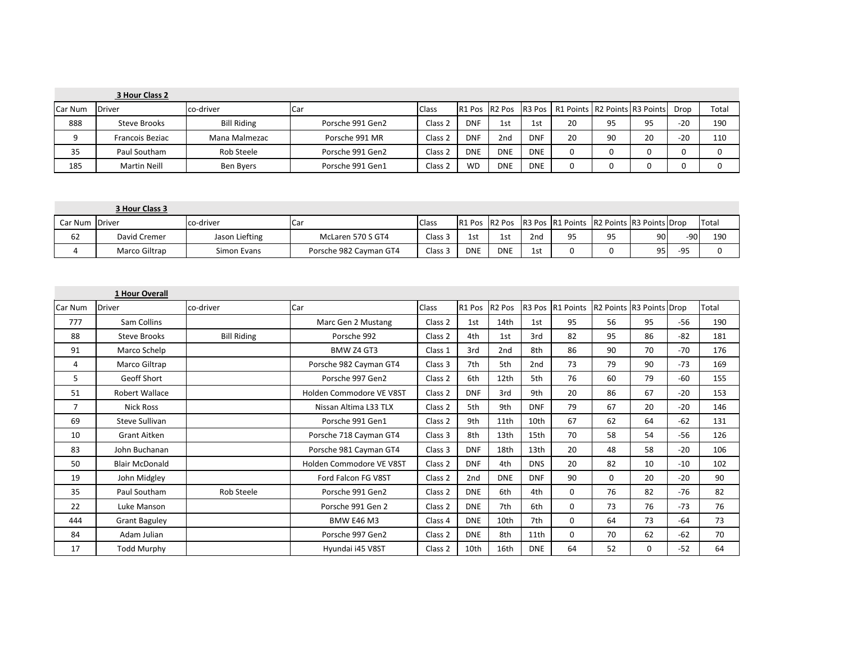|         | 3 Hour Class 2         |                    |                  |                    |            |            |            |                                                         |    |    |       |       |
|---------|------------------------|--------------------|------------------|--------------------|------------|------------|------------|---------------------------------------------------------|----|----|-------|-------|
| Car Num | Driver                 | co-driver          | <b>I</b> Car     | <b>Class</b>       |            |            |            | R1 Pos R2 Pos R3 Pos R1 Points R2 Points R3 Points Drop |    |    |       | Total |
| 888     | Steve Brooks           | <b>Bill Riding</b> | Porsche 991 Gen2 | Class <sub>2</sub> | <b>DNF</b> | 1st        | 1st        | 20                                                      | 95 | 95 | $-20$ | 190   |
|         | <b>Francois Beziac</b> | Mana Malmezac      | Porsche 991 MR   | Class 2            | <b>DNF</b> | 2nd        | <b>DNF</b> | 20                                                      | 90 |    | $-20$ | 110   |
| 35      | Paul Southam           | Rob Steele         | Porsche 991 Gen2 | Class <sub>2</sub> | <b>DNE</b> | <b>DNE</b> | <b>DNE</b> |                                                         |    |    |       |       |
| 185     | <b>Martin Neill</b>    | Ben Byers          | Porsche 991 Gen1 | Class 2            | <b>WD</b>  | <b>DNE</b> | <b>DNE</b> |                                                         |    |    |       |       |

|                | 3 Hour Class 3 |                |                        |              |            |            |                 |                                                                       |    |      |       |       |
|----------------|----------------|----------------|------------------------|--------------|------------|------------|-----------------|-----------------------------------------------------------------------|----|------|-------|-------|
| Car Num Driver |                | co-driver      | Car                    | <b>Class</b> |            |            |                 | <b>IR1 Pos IR2 Pos IR3 Pos IR1 Points IR2 Points IR3 Points IDrop</b> |    |      |       | Total |
| 62             | David Cremer   | Jason Liefting | McLaren 570 S GT4      | Class 3      | 1st        | 1st        | 2 <sub>nd</sub> | 95                                                                    | 95 | 90 l | -90 l | 190   |
|                | Marco Giltrap  | Simon Evans    | Porsche 982 Cayman GT4 | Class 3      | <b>DNE</b> | <b>DNE</b> | 1st             |                                                                       |    | 95 I | $-95$ | 0     |

|         | 1 Hour Overall        |                    |                          |         |            |                    |                    |                       |                          |    |       |       |
|---------|-----------------------|--------------------|--------------------------|---------|------------|--------------------|--------------------|-----------------------|--------------------------|----|-------|-------|
| Car Num | <b>Driver</b>         | co-driver          | Car                      | Class   | R1 Pos     | R <sub>2</sub> Pos | R <sub>3</sub> Pos | R <sub>1</sub> Points | R2 Points R3 Points Drop |    |       | Total |
| 777     | Sam Collins           |                    | Marc Gen 2 Mustang       | Class 2 | 1st        | 14th               | 1st                | 95                    | 56                       | 95 | $-56$ | 190   |
| 88      | <b>Steve Brooks</b>   | <b>Bill Riding</b> | Porsche 992              | Class 2 | 4th        | 1st                | 3rd                | 82                    | 95                       | 86 | -82   | 181   |
| 91      | Marco Schelp          |                    | BMW Z4 GT3               | Class 1 | 3rd        | 2nd                | 8th                | 86                    | 90                       | 70 | $-70$ | 176   |
| 4       | Marco Giltrap         |                    | Porsche 982 Cayman GT4   | Class 3 | 7th        | 5th                | 2nd                | 73                    | 79                       | 90 | $-73$ | 169   |
| 5       | Geoff Short           |                    | Porsche 997 Gen2         | Class 2 | 6th        | 12th               | 5th                | 76                    | 60                       | 79 | $-60$ | 155   |
| 51      | Robert Wallace        |                    | Holden Commodore VE V8ST | Class 2 | <b>DNF</b> | 3rd                | 9th                | 20                    | 86                       | 67 | $-20$ | 153   |
| 7       | <b>Nick Ross</b>      |                    | Nissan Altima L33 TLX    | Class 2 | 5th        | 9th                | <b>DNF</b>         | 79                    | 67                       | 20 | $-20$ | 146   |
| 69      | Steve Sullivan        |                    | Porsche 991 Gen1         | Class 2 | 9th        | 11th               | 10th               | 67                    | 62                       | 64 | $-62$ | 131   |
| 10      | <b>Grant Aitken</b>   |                    | Porsche 718 Cayman GT4   | Class 3 | 8th        | 13th               | 15th               | 70                    | 58                       | 54 | $-56$ | 126   |
| 83      | John Buchanan         |                    | Porsche 981 Cayman GT4   | Class 3 | <b>DNF</b> | 18th               | 13th               | 20                    | 48                       | 58 | $-20$ | 106   |
| 50      | <b>Blair McDonald</b> |                    | Holden Commodore VE V8ST | Class 2 | <b>DNF</b> | 4th                | <b>DNS</b>         | 20                    | 82                       | 10 | $-10$ | 102   |
| 19      | John Midgley          |                    | Ford Falcon FG V8ST      | Class 2 | 2nd        | <b>DNE</b>         | <b>DNF</b>         | 90                    | 0                        | 20 | $-20$ | 90    |
| 35      | Paul Southam          | Rob Steele         | Porsche 991 Gen2         | Class 2 | <b>DNE</b> | 6th                | 4th                | 0                     | 76                       | 82 | $-76$ | 82    |
| 22      | Luke Manson           |                    | Porsche 991 Gen 2        | Class 2 | <b>DNE</b> | 7th                | 6th                | 0                     | 73                       | 76 | $-73$ | 76    |
| 444     | <b>Grant Baguley</b>  |                    | <b>BMW E46 M3</b>        | Class 4 | <b>DNE</b> | 10th               | 7th                | $\Omega$              | 64                       | 73 | $-64$ | 73    |
| 84      | Adam Julian           |                    | Porsche 997 Gen2         | Class 2 | <b>DNE</b> | 8th                | 11th               | 0                     | 70                       | 62 | $-62$ | 70    |
| 17      | <b>Todd Murphy</b>    |                    | Hyundai i45 V8ST         | Class 2 | 10th       | 16th               | <b>DNE</b>         | 64                    | 52                       | 0  | $-52$ | 64    |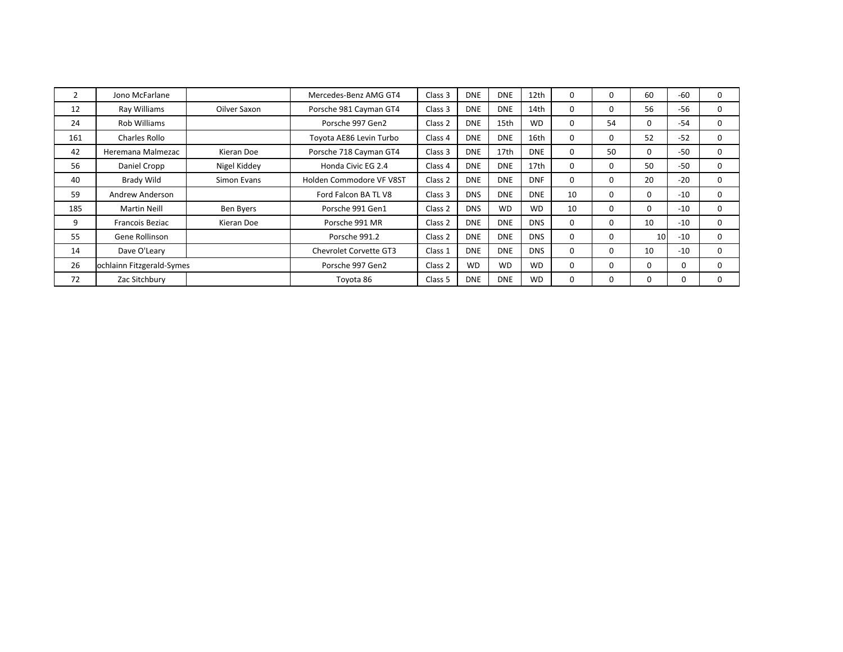|     | Jono McFarlane            |              | Mercedes-Benz AMG GT4         | Class 3 | <b>DNE</b> | <b>DNE</b> | 12th       |    |          | 60       | $-60$ | 0        |
|-----|---------------------------|--------------|-------------------------------|---------|------------|------------|------------|----|----------|----------|-------|----------|
| 12  | Ray Williams              | Oilver Saxon | Porsche 981 Cayman GT4        | Class 3 | <b>DNE</b> | <b>DNE</b> | 14th       | 0  | 0        | 56       | $-56$ | 0        |
| 24  | Rob Williams              |              | Porsche 997 Gen2              | Class 2 | <b>DNE</b> | 15th       | <b>WD</b>  | 0  | 54       | $\Omega$ | -54   | 0        |
| 161 | Charles Rollo             |              | Toyota AE86 Levin Turbo       | Class 4 | <b>DNE</b> | <b>DNE</b> | 16th       | 0  | $\Omega$ | 52       | $-52$ | 0        |
| 42  | Heremana Malmezac         | Kieran Doe   | Porsche 718 Cayman GT4        | Class 3 | <b>DNE</b> | 17th       | <b>DNE</b> | 0  | 50       | $\Omega$ | $-50$ | 0        |
| 56  | Daniel Cropp              | Nigel Kiddey | Honda Civic EG 2.4            | Class 4 | <b>DNE</b> | <b>DNE</b> | 17th       | 0  | 0        | 50       | $-50$ | 0        |
| 40  | <b>Brady Wild</b>         | Simon Evans  | Holden Commodore VF V8ST      | Class 2 | <b>DNE</b> | <b>DNE</b> | <b>DNF</b> | 0  | 0        | 20       | $-20$ | 0        |
| 59  | Andrew Anderson           |              | Ford Falcon BA TL V8          | Class 3 | <b>DNS</b> | <b>DNE</b> | <b>DNE</b> | 10 | $\Omega$ | $\Omega$ | $-10$ | 0        |
| 185 | <b>Martin Neill</b>       | Ben Byers    | Porsche 991 Gen1              | Class 2 | <b>DNS</b> | <b>WD</b>  | <b>WD</b>  | 10 | 0        | $\Omega$ | $-10$ | 0        |
| 9   | Francois Beziac           | Kieran Doe   | Porsche 991 MR                | Class 2 | <b>DNE</b> | <b>DNE</b> | <b>DNS</b> | 0  | 0        | 10       | $-10$ | 0        |
| 55  | Gene Rollinson            |              | Porsche 991.2                 | Class 2 | <b>DNE</b> | <b>DNE</b> | <b>DNS</b> | 0  | $\Omega$ | 10       | $-10$ | 0        |
| 14  | Dave O'Leary              |              | <b>Chevrolet Corvette GT3</b> | Class 1 | <b>DNE</b> | <b>DNE</b> | <b>DNS</b> | 0  | 0        | 10       | $-10$ | 0        |
| 26  | ochlainn Fitzgerald-Symes |              | Porsche 997 Gen2              | Class 2 | <b>WD</b>  | <b>WD</b>  | <b>WD</b>  | 0  | $\Omega$ | $\Omega$ | 0     | $\Omega$ |
| 72  | Zac Sitchbury             |              | Toyota 86                     | Class 5 | <b>DNE</b> | <b>DNE</b> | <b>WD</b>  | 0  |          | 0        | 0     | $\Omega$ |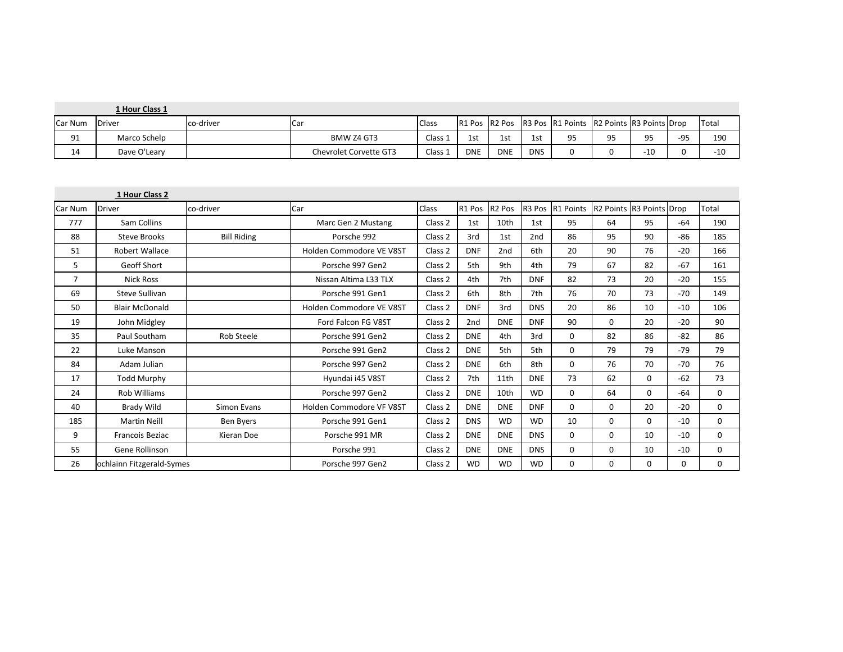|         | 1 Hour Class 1 |           |                        |              |            |            |            |                                                         |    |       |       |       |
|---------|----------------|-----------|------------------------|--------------|------------|------------|------------|---------------------------------------------------------|----|-------|-------|-------|
| Car Num | Driver         | co-driver | <b>I</b> Car           | <b>Class</b> |            |            |            | R1 Pos R2 Pos R3 Pos R1 Points R2 Points R3 Points Drop |    |       |       | Total |
| 91      | Marco Schelp   |           | BMW Z4 GT3             | Class 1      | 1st        | <b>100</b> | 1st        | 95                                                      | ٩S | ΩE    | $-95$ | 190   |
| 14      | Dave O'Leary   |           | Chevrolet Corvette GT3 | Class 1      | <b>DNE</b> | <b>DNE</b> | <b>DNS</b> |                                                         |    | $-10$ |       | $-10$ |

|         | 1 Hour Class 2            |                    |                          |         |                 |                    |                 |             |                          |          |       |       |
|---------|---------------------------|--------------------|--------------------------|---------|-----------------|--------------------|-----------------|-------------|--------------------------|----------|-------|-------|
| Car Num | <b>Driver</b>             | co-driver          | Car                      | Class   | R1 Pos          | R <sub>2</sub> Pos | R3 Pos          | R1 Points   | R2 Points R3 Points Drop |          |       | Total |
| 777     | Sam Collins               |                    | Marc Gen 2 Mustang       | Class 2 | 1st             | 10th               | 1st             | 95          | 64                       | 95       | $-64$ | 190   |
| 88      | <b>Steve Brooks</b>       | <b>Bill Riding</b> | Porsche 992              | Class 2 | 3rd             | 1st                | 2 <sub>nd</sub> | 86          | 95                       | 90       | $-86$ | 185   |
| 51      | Robert Wallace            |                    | Holden Commodore VE V8ST | Class 2 | <b>DNF</b>      | 2 <sub>nd</sub>    | 6th             | 20          | 90                       | 76       | $-20$ | 166   |
| 5       | Geoff Short               |                    | Porsche 997 Gen2         | Class 2 | 5th             | 9th                | 4th             | 79          | 67                       | 82       | $-67$ | 161   |
| 7       | <b>Nick Ross</b>          |                    | Nissan Altima L33 TLX    | Class 2 | 4th             | 7th                | <b>DNF</b>      | 82          | 73                       | 20       | $-20$ | 155   |
| 69      | Steve Sullivan            |                    | Porsche 991 Gen1         | Class 2 | 6th             | 8th                | 7th             | 76          | 70                       | 73       | $-70$ | 149   |
| 50      | <b>Blair McDonald</b>     |                    | Holden Commodore VE V8ST | Class 2 | <b>DNF</b>      | 3rd                | <b>DNS</b>      | 20          | 86                       | 10       | $-10$ | 106   |
| 19      | John Midgley              |                    | Ford Falcon FG V8ST      | Class 2 | 2 <sub>nd</sub> | <b>DNE</b>         | <b>DNF</b>      | 90          | 0                        | 20       | $-20$ | 90    |
| 35      | Paul Southam              | <b>Rob Steele</b>  | Porsche 991 Gen2         | Class 2 | <b>DNE</b>      | 4th                | 3rd             | 0           | 82                       | 86       | $-82$ | 86    |
| 22      | Luke Manson               |                    | Porsche 991 Gen2         | Class 2 | <b>DNE</b>      | 5th                | 5th             | $\mathbf 0$ | 79                       | 79       | $-79$ | 79    |
| 84      | Adam Julian               |                    | Porsche 997 Gen2         | Class 2 | <b>DNE</b>      | 6th                | 8th             | 0           | 76                       | 70       | $-70$ | 76    |
| 17      | Todd Murphy               |                    | Hyundai i45 V8ST         | Class 2 | 7th             | 11th               | <b>DNE</b>      | 73          | 62                       | 0        | $-62$ | 73    |
| 24      | <b>Rob Williams</b>       |                    | Porsche 997 Gen2         | Class 2 | <b>DNE</b>      | 10th               | <b>WD</b>       | 0           | 64                       | 0        | -64   | 0     |
| 40      | Brady Wild                | Simon Evans        | Holden Commodore VF V8ST | Class 2 | <b>DNE</b>      | <b>DNE</b>         | <b>DNF</b>      | 0           | 0                        | 20       | $-20$ | 0     |
| 185     | <b>Martin Neill</b>       | Ben Byers          | Porsche 991 Gen1         | Class 2 | <b>DNS</b>      | <b>WD</b>          | <b>WD</b>       | 10          | $\Omega$                 | $\Omega$ | $-10$ | 0     |
| 9       | Francois Beziac           | Kieran Doe         | Porsche 991 MR           | Class 2 | <b>DNE</b>      | <b>DNE</b>         | <b>DNS</b>      | 0           | 0                        | 10       | $-10$ | 0     |
| 55      | Gene Rollinson            |                    | Porsche 991              | Class 2 | <b>DNE</b>      | <b>DNE</b>         | <b>DNS</b>      | 0           | 0                        | 10       | $-10$ | 0     |
| 26      | ochlainn Fitzgerald-Symes |                    | Porsche 997 Gen2         | Class 2 | <b>WD</b>       | <b>WD</b>          | <b>WD</b>       | 0           | 0                        | 0        | 0     | 0     |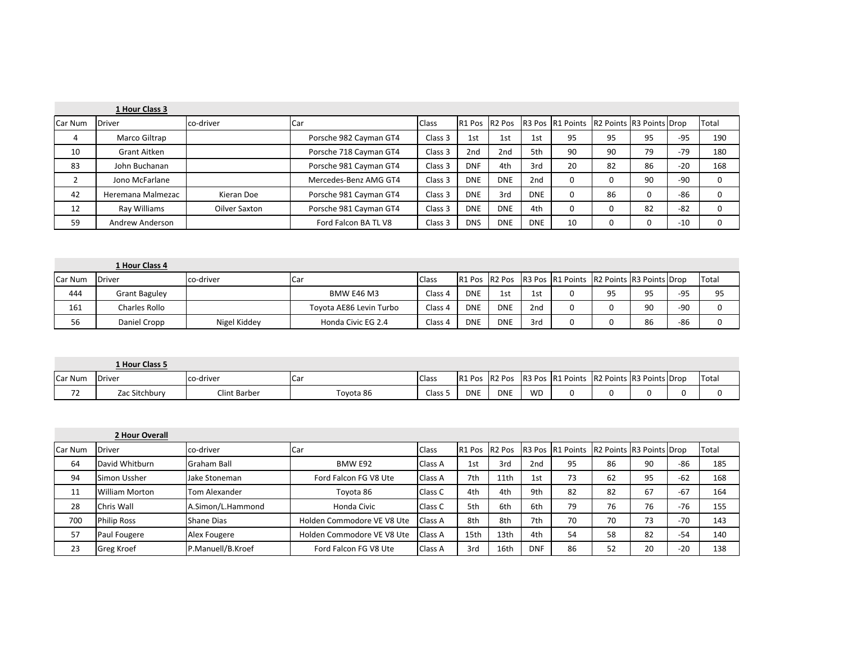|         | 1 Hour Class 3    |               |                        |         |                 |                 |                 |                                                         |    |    |       |              |
|---------|-------------------|---------------|------------------------|---------|-----------------|-----------------|-----------------|---------------------------------------------------------|----|----|-------|--------------|
| Car Num | <b>Driver</b>     | co-driver     | <b>Car</b>             | Class   |                 |                 |                 | R1 Pos R2 Pos R3 Pos R1 Points R2 Points R3 Points Drop |    |    |       | Total        |
| 4       | Marco Giltrap     |               | Porsche 982 Cayman GT4 | Class 3 | 1st             | 1st             | 1st             | 95                                                      | 95 | 95 | $-95$ | 190          |
| 10      | Grant Aitken      |               | Porsche 718 Cayman GT4 | Class 3 | 2 <sub>nd</sub> | 2 <sub>nd</sub> | 5th             | 90                                                      | 90 | 79 | $-79$ | 180          |
| 83      | John Buchanan     |               | Porsche 981 Cayman GT4 | Class 3 | <b>DNF</b>      | 4th             | 3rd             | 20                                                      | 82 | 86 | $-20$ | 168          |
|         | Jono McFarlane    |               | Mercedes-Benz AMG GT4  | Class 3 | <b>DNE</b>      | <b>DNE</b>      | 2 <sub>nd</sub> | 0                                                       |    | 90 | $-90$ | 0            |
| 42      | Heremana Malmezac | Kieran Doe    | Porsche 981 Cayman GT4 | Class 3 | <b>DNE</b>      | 3rd             | <b>DNE</b>      |                                                         | 86 |    | -86   |              |
| 12      | Rav Williams      | Oilver Saxton | Porsche 981 Cayman GT4 | Class 3 | <b>DNE</b>      | <b>DNE</b>      | 4th             |                                                         |    | 82 | $-82$ | 0            |
| 59      | Andrew Anderson   |               | Ford Falcon BA TL V8   | Class 3 | <b>DNS</b>      | <b>DNE</b>      | <b>DNE</b>      | 10                                                      |    |    | $-10$ | <sup>0</sup> |

|         | 1 Hour Class 4       |              |                         |         |            |            |                 |                                                         |    |    |       |               |
|---------|----------------------|--------------|-------------------------|---------|------------|------------|-----------------|---------------------------------------------------------|----|----|-------|---------------|
| Car Num | <b>Driver</b>        | co-driver    | <b>Car</b>              | Class   |            |            |                 | R1 Pos R2 Pos R3 Pos R1 Points R2 Points R3 Points Drop |    |    |       | <b>ITotal</b> |
| 444     | <b>Grant Baguley</b> |              | BMW E46 M3              | Class 4 | <b>DNE</b> | 1st        | 1st             |                                                         | 95 | 05 | $-95$ | 95            |
| 161     | Charles Rollo        |              | Toyota AE86 Levin Turbo | Class 4 | <b>DNE</b> | <b>DNE</b> | 2 <sub>nd</sub> |                                                         |    | 90 | -90   |               |
| 56      | Daniel Cropp         | Nigel Kiddev | Honda Civic EG 2.4      | Class 4 | <b>DNE</b> | <b>DNE</b> | 3rd             |                                                         |    | 86 | -86   |               |

|                       | 1 Hour Class 5 |              |           |        |               |            |           |                  |                          |  |               |
|-----------------------|----------------|--------------|-----------|--------|---------------|------------|-----------|------------------|--------------------------|--|---------------|
| Car Num               | <b>Driver</b>  | co-driver    | ıCa       | Class  | R1 Pos R2 Pos |            |           | R3 Pos R1 Points | R2 Points R3 Points Drop |  | <b>ITotal</b> |
| $\overline{ }$<br>. . | Zac Sitchbury  | Clint Barber | Toyota 86 | Class. | <b>DNE</b>    | <b>DNE</b> | <b>WD</b> |                  |                          |  |               |

|         | 2 Hour Overall        |                    |                            |                |      |      |            |                                                         |    |    |       |       |
|---------|-----------------------|--------------------|----------------------------|----------------|------|------|------------|---------------------------------------------------------|----|----|-------|-------|
| Car Num | Driver                | co-driver          | <b>Car</b>                 | <b>Class</b>   |      |      |            | R1 Pos R2 Pos R3 Pos R1 Points R2 Points R3 Points Drop |    |    |       | Total |
| 64      | David Whitburn        | <b>Graham Ball</b> | BMW E92                    | <b>Class A</b> | 1st  | 3rd  | 2nd        | 95                                                      | 86 | 90 | $-86$ | 185   |
| 94      | Simon Ussher          | Jake Stoneman      | Ford Falcon FG V8 Ute      | <b>Class A</b> | 7th  | 11th | 1st        | 73                                                      | 62 | 95 | $-62$ | 168   |
| 11      | <b>William Morton</b> | Tom Alexander      | Tovota 86                  | Class C        | 4th  | 4th  | 9th        | 82                                                      | 82 | 67 | $-67$ | 164   |
| 28      | Chris Wall            | A.Simon/L.Hammond  | Honda Civic                | Class C        | 5th  | 6th  | 6th        | 79                                                      | 76 | 76 | $-76$ | 155   |
| 700     | <b>Philip Ross</b>    | Shane Dias         | Holden Commodore VE V8 Ute | <b>Class A</b> | 8th  | 8th  | 7th        | 70                                                      | 70 | 73 | $-70$ | 143   |
| 57      | Paul Fougere          | Alex Fougere       | Holden Commodore VE V8 Ute | <b>Class A</b> | 15th | 13th | 4th        | 54                                                      | 58 | 82 | $-54$ | 140   |
| 23      | <b>Greg Kroef</b>     | P.Manuell/B.Kroef  | Ford Falcon FG V8 Ute      | <b>Class A</b> | 3rd  | 16th | <b>DNF</b> | 86                                                      | 52 | 20 | $-20$ | 138   |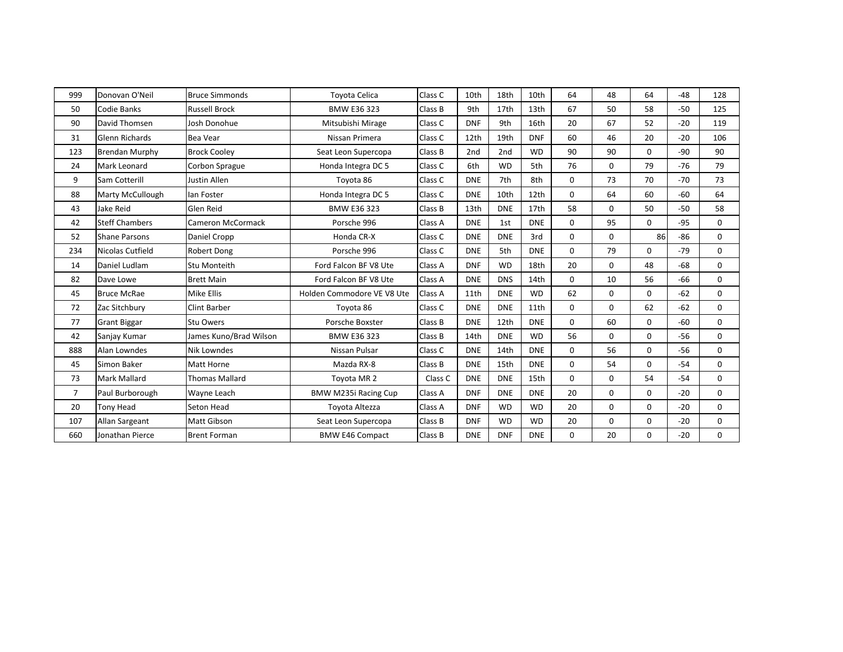| 999            | Donovan O'Neil          | <b>Bruce Simmonds</b>    | <b>Toyota Celica</b>       | Class C | 10th       | 18th       | 10th       | 64       | 48       | 64       | $-48$ | 128      |
|----------------|-------------------------|--------------------------|----------------------------|---------|------------|------------|------------|----------|----------|----------|-------|----------|
| 50             | Codie Banks             | <b>Russell Brock</b>     | <b>BMW E36 323</b>         | Class B | 9th        | 17th       | 13th       | 67       | 50       | 58       | $-50$ | 125      |
| 90             | David Thomsen           | Josh Donohue             | Mitsubishi Mirage          | Class C | <b>DNF</b> | 9th        | 16th       | 20       | 67       | 52       | $-20$ | 119      |
| 31             | <b>Glenn Richards</b>   | <b>Bea Vear</b>          | Nissan Primera             | Class C | 12th       | 19th       | <b>DNF</b> | 60       | 46       | 20       | $-20$ | 106      |
| 123            | <b>Brendan Murphy</b>   | <b>Brock Cooley</b>      | Seat Leon Supercopa        | Class B | 2nd        | 2nd        | <b>WD</b>  | 90       | 90       | $\Omega$ | -90   | 90       |
| 24             | Mark Leonard            | Corbon Sprague           | Honda Integra DC 5         | Class C | 6th        | <b>WD</b>  | 5th        | 76       | $\Omega$ | 79       | $-76$ | 79       |
| 9              | Sam Cotterill           | Justin Allen             | Toyota 86                  | Class C | <b>DNE</b> | 7th        | 8th        | $\Omega$ | 73       | 70       | $-70$ | 73       |
| 88             | <b>Marty McCullough</b> | lan Foster               | Honda Integra DC 5         | Class C | <b>DNE</b> | 10th       | 12th       | $\Omega$ | 64       | 60       | -60   | 64       |
| 43             | Jake Reid               | Glen Reid                | BMW E36 323                | Class B | 13th       | <b>DNE</b> | 17th       | 58       | $\Omega$ | 50       | $-50$ | 58       |
| 42             | <b>Steff Chambers</b>   | <b>Cameron McCormack</b> | Porsche 996                | Class A | <b>DNE</b> | 1st        | <b>DNE</b> | 0        | 95       | $\Omega$ | $-95$ | 0        |
| 52             | <b>Shane Parsons</b>    | Daniel Cropp             | Honda CR-X                 | Class C | <b>DNE</b> | <b>DNE</b> | 3rd        | $\Omega$ | $\Omega$ | 86       | $-86$ | 0        |
| 234            | Nicolas Cutfield        | Robert Dong              | Porsche 996                | Class C | <b>DNE</b> | 5th        | <b>DNE</b> | $\Omega$ | 79       | $\Omega$ | -79   | 0        |
| 14             | Daniel Ludlam           | <b>Stu Monteith</b>      | Ford Falcon BF V8 Ute      | Class A | <b>DNF</b> | <b>WD</b>  | 18th       | 20       | $\Omega$ | 48       | $-68$ | 0        |
| 82             | Dave Lowe               | <b>Brett Main</b>        | Ford Falcon BF V8 Ute      | Class A | <b>DNE</b> | <b>DNS</b> | 14th       | 0        | 10       | 56       | -66   | 0        |
| 45             | <b>Bruce McRae</b>      | <b>Mike Ellis</b>        | Holden Commodore VE V8 Ute | Class A | 11th       | <b>DNE</b> | <b>WD</b>  | 62       | $\Omega$ | $\Omega$ | $-62$ | $\Omega$ |
| 72             | Zac Sitchbury           | Clint Barber             | Toyota 86                  | Class C | <b>DNE</b> | <b>DNE</b> | 11th       | $\Omega$ | $\Omega$ | 62       | $-62$ | 0        |
| 77             | <b>Grant Biggar</b>     | <b>Stu Owers</b>         | Porsche Boxster            | Class B | <b>DNE</b> | 12th       | <b>DNE</b> | $\Omega$ | 60       | $\Omega$ | -60   | 0        |
| 42             | Sanjay Kumar            | James Kuno/Brad Wilson   | <b>BMW E36 323</b>         | Class B | 14th       | <b>DNE</b> | <b>WD</b>  | 56       | 0        | 0        | $-56$ | 0        |
| 888            | Alan Lowndes            | <b>Nik Lowndes</b>       | Nissan Pulsar              | Class C | <b>DNE</b> | 14th       | <b>DNE</b> | 0        | 56       | 0        | $-56$ | 0        |
| 45             | Simon Baker             | Matt Horne               | Mazda RX-8                 | Class B | <b>DNE</b> | 15th       | <b>DNE</b> | 0        | 54       | $\Omega$ | -54   | 0        |
| 73             | <b>Mark Mallard</b>     | <b>Thomas Mallard</b>    | Toyota MR 2                | Class C | <b>DNE</b> | <b>DNE</b> | 15th       | $\Omega$ | $\Omega$ | 54       | $-54$ | 0        |
| $\overline{7}$ | Paul Burborough         | Wayne Leach              | BMW M235i Racing Cup       | Class A | <b>DNF</b> | <b>DNE</b> | <b>DNE</b> | 20       | 0        | 0        | $-20$ | 0        |
| 20             | <b>Tony Head</b>        | Seton Head               | Toyota Altezza             | Class A | <b>DNF</b> | <b>WD</b>  | <b>WD</b>  | 20       | 0        | 0        | $-20$ | 0        |
| 107            | Allan Sargeant          | Matt Gibson              | Seat Leon Supercopa        | Class B | <b>DNF</b> | <b>WD</b>  | <b>WD</b>  | 20       | $\Omega$ | 0        | $-20$ | 0        |
| 660            | Jonathan Pierce         | <b>Brent Forman</b>      | <b>BMW E46 Compact</b>     | Class B | <b>DNE</b> | <b>DNF</b> | <b>DNE</b> | 0        | 20       | $\Omega$ | $-20$ | 0        |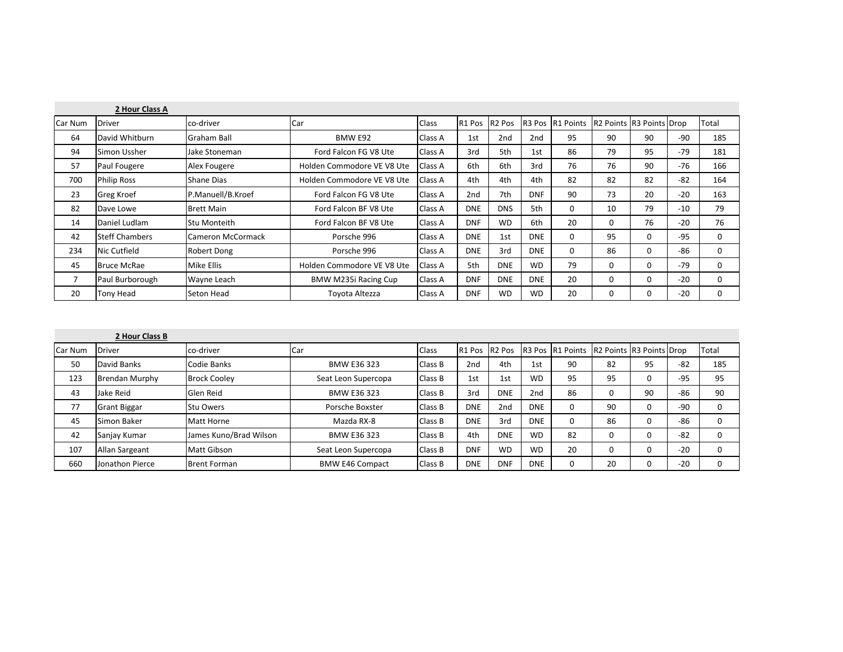|         | 2 Hour Class A        |                     |                            |         |                 |            |            |                  |                          |          |       |          |
|---------|-----------------------|---------------------|----------------------------|---------|-----------------|------------|------------|------------------|--------------------------|----------|-------|----------|
| Car Num | <b>Driver</b>         | co-driver           | Car                        | Class   | R1 Pos R2 Pos   |            |            | R3 Pos R1 Points | R2 Points R3 Points Drop |          |       | Total    |
| 64      | David Whitburn        | Graham Ball         | BMW E92                    | Class A | 1st             | 2nd        | 2nd        | 95               | 90                       | 90       | $-90$ | 185      |
| 94      | Simon Ussher          | Jake Stoneman       | Ford Falcon FG V8 Ute      | Class A | 3rd             | 5th        | 1st        | 86               | 79                       | 95       | $-79$ | 181      |
| 57      | Paul Fougere          | Alex Fougere        | Holden Commodore VE V8 Ute | Class A | 6th             | 6th        | 3rd        | 76               | 76                       | 90       | $-76$ | 166      |
| 700     | <b>Philip Ross</b>    | Shane Dias          | Holden Commodore VE V8 Ute | Class A | 4th             | 4th        | 4th        | 82               | 82                       | 82       | $-82$ | 164      |
| 23      | <b>Greg Kroef</b>     | P.Manuell/B.Kroef   | Ford Falcon FG V8 Ute      | Class A | 2 <sub>nd</sub> | 7th        | <b>DNF</b> | 90               | 73                       | 20       | $-20$ | 163      |
| 82      | Dave Lowe             | <b>Brett Main</b>   | Ford Falcon BF V8 Ute      | Class A | <b>DNE</b>      | <b>DNS</b> | 5th        | $\Omega$         | 10                       | 79       | $-10$ | 79       |
| 14      | Daniel Ludlam         | <b>Stu Monteith</b> | Ford Falcon BF V8 Ute      | Class A | <b>DNF</b>      | <b>WD</b>  | 6th        | 20               | 0                        | 76       | $-20$ | 76       |
| 42      | <b>Steff Chambers</b> | Cameron McCormack   | Porsche 996                | Class A | <b>DNE</b>      | 1st        | <b>DNE</b> | $\Omega$         | 95                       | 0        | $-95$ | $\Omega$ |
| 234     | Nic Cutfield          | Robert Dong         | Porsche 996                | Class A | <b>DNE</b>      | 3rd        | <b>DNE</b> | $\mathbf{0}$     | 86                       | 0        | -86   | $\Omega$ |
| 45      | <b>Bruce McRae</b>    | Mike Ellis          | Holden Commodore VE V8 Ute | Class A | 5th             | <b>DNE</b> | <b>WD</b>  | 79               | 0                        | 0        | $-79$ | 0        |
| 7       | Paul Burborough       | Wayne Leach         | BMW M235i Racing Cup       | Class A | <b>DNF</b>      | <b>DNE</b> | <b>DNE</b> | 20               | 0                        | $\Omega$ | $-20$ | $\Omega$ |
| 20      | Tony Head             | Seton Head          | Toyota Altezza             | Class A | <b>DNF</b>      | <b>WD</b>  | <b>WD</b>  | 20               | 0                        | O        | $-20$ | $\Omega$ |

|         | 2 Hour Class B        |                        |                        |              |                    |                 |                 |                                          |                          |    |       |          |
|---------|-----------------------|------------------------|------------------------|--------------|--------------------|-----------------|-----------------|------------------------------------------|--------------------------|----|-------|----------|
| Car Num | <b>Driver</b>         | co-driver              | Car                    | <b>Class</b> | R <sub>1</sub> Pos | <b>R2 Pos</b>   |                 | R <sub>3</sub> Pos R <sub>1</sub> Points | R2 Points R3 Points Drop |    |       | Total    |
| 50      | David Banks           | Codie Banks            | BMW E36 323            | Class B      | 2 <sub>nd</sub>    | 4th             | 1st             | 90                                       | 82                       | 95 | $-82$ | 185      |
| 123     | <b>Brendan Murphy</b> | <b>Brock Cooley</b>    | Seat Leon Supercopa    | Class B      | 1st                | 1st             | <b>WD</b>       | 95                                       | 95                       |    | $-95$ | 95       |
| 43      | Jake Reid             | Glen Reid              | <b>BMW E36 323</b>     | Class B      | 3rd                | <b>DNE</b>      | 2 <sub>nd</sub> | 86                                       |                          | 90 | $-86$ | 90       |
| 77      | <b>Grant Biggar</b>   | <b>Stu Owers</b>       | Porsche Boxster        | Class B      | <b>DNE</b>         | 2 <sub>nd</sub> | <b>DNE</b>      | 0                                        | 90                       |    | $-90$ | 0        |
| 45      | Simon Baker           | Matt Horne             | Mazda RX-8             | Class B      | <b>DNE</b>         | 3rd             | <b>DNE</b>      | 0                                        | 86                       |    | $-86$ | 0        |
| 42      | Sanjay Kumar          | James Kuno/Brad Wilson | BMW E36 323            | Class B      | 4th                | <b>DNE</b>      | <b>WD</b>       | 82                                       |                          |    | $-82$ | 0        |
| 107     | Allan Sargeant        | Matt Gibson            | Seat Leon Supercopa    | Class B      | <b>DNF</b>         | <b>WD</b>       | <b>WD</b>       | 20                                       |                          |    | $-20$ | $\Omega$ |
| 660     | Jonathon Pierce       | <b>Brent Forman</b>    | <b>BMW E46 Compact</b> | Class B      | <b>DNE</b>         | <b>DNF</b>      | <b>DNE</b>      | 0                                        | 20                       |    | $-20$ |          |